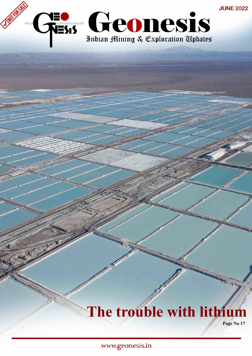

# **The trouble with lithium**

**Page No 17**

www.geonesis.in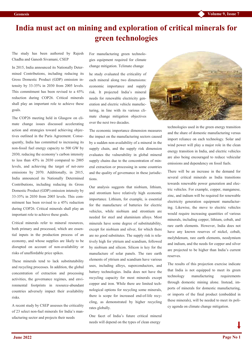### **India must act on mining and exploration of critical minerals for green technologies**

The study has been authored by Rajesh Chadha and Ganesh Sivamani, CSEP

In 2015, India announced its Nationally Determined Contributions, including reducing its Gross Domestic Product (GDP) emission intensity by 33-35% in 2030 from 2005 levels. This commitment has been revised to a 45% reduction during COP26. Critical minerals shall play an important role to achieve these goals.

The COP26 meeting held in Glasgow on climate change issues discussed accelerating action and strategies toward achieving objectives outlined in the Paris Agreement. Consequently, India has committed to increasing its non-fossil fuel energy capacity to 500 GW by 2030, reducing the economy's carbon intensity to less than 45% in 2030 compared to 2005 levels, and achieving the target of net-zero emissions by 2070. Additionally, in 2015, India announced its Nationally Determined Contributions, including reducing its Gross Domestic Product (GDP) emission intensity by 33-35% in 2030 from 2005 levels. This commitment has been revised to a 45% reduction during COP26. Critical minerals shall play an important role to achieve these goals.

Critical minerals refer to mineral resources, both primary and processed, which are essential inputs in the production process of an economy, and whose supplies are likely to be disrupted on account of non-availability or risks of unaffordable price spikes.

These minerals tend to lack substitutability and recycling processes. In addition, the global concentration of extraction and processing activities, the governance regimes, and environmental footprints in resource-abundant countries adversely impact their availability risks.

A recent study by CSEP assesses the criticality of 23 select non-fuel minerals for India's manufacturing sector and projects their needs

For manufacturing green technologies equipment required for climate change mitigation. Tclimate change

he study evaluated the criticality of each mineral along two dimensions: economic importance and supply risk. It projected India's mineral needs for renewable electricity generation and electric vehicle manufacturing, in line with its various climate change mitigation objectives over the next two decades.

The economic importance dimension measures the impact on the manufacturing sectors caused by a sudden non-availability of a mineral in the supply chain, and the supply risk dimension evaluates the vulnerability in global mineral supply chains due to the concentration of mineral extraction or processing in some countries and the quality of governance in these jurisdictions.

Our analysis suggests that niobium, lithium, and strontium have relatively high economic importance. Lithium, for example, is essential for the manufacture of batteries for electric vehicles, while niobium and strontium are needed for steel and aluminium alloys. Most minerals have some degree of substitutability, except for niobium and silver, for which there are no good substitutes. The supply risk is relatively high for yttrium and scandium, followed by niobium and silicon. Silicon is key for the manufacture of solar panels. The rare earth elements of yttrium and scandium have various uses, including alloys, superconductors, and battery technologies. India does not have the recycling capacity for most minerals except copper and iron. While there are limited technological options for recycling some minerals, there is scope for increased end-of-life recycling, as demonstrated by higher recycling rates globally.

One facet of India's future critical mineral needs will depend on the types of clean energy



technologies used in the green energy transition and the share of domestic manufacturing versus import reliance on each technology. Solar and wind power will play a major role in the clean energy transition in India, and electric vehicles are also being encouraged to reduce vehicular emissions and dependency on fossil fuels.

There will be an increase in the demand for several critical minerals as India transitions towards renewable power generation and electric vehicles. For example, copper, manganese, zinc, and indium will be required for renewable electricity generation equipment manufacturing. Likewise, the move to electric vehicles would require increasing quantities of various minerals, including copper, lithium, cobalt, and rare earth elements. However, India does not have any known reserves of nickel, cobalt, molybdenum, rare earth elements, neodymium and indium, and the needs for copper and silver are projected to be higher than India's current reserves.

The results of this projection exercise indicate that India is not equipped to meet its green technology manufacturing requirements through domestic mining alone. Instead, imports of minerals for domestic manufacturing, or imports of the final product (embedded in these minerals), will be needed to meet its policy agenda on climate change mitigation.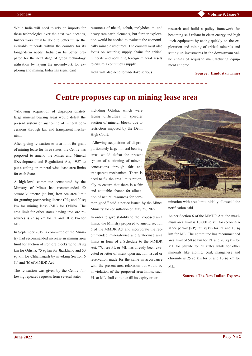While India will need to rely on imports for these technologies over the next two decades, further work must be done to better utilise the available minerals within the country for its longer-term needs. India can be better prepared for the next stage of green technology utilisation by laying the groundwork for exploring and mining. India has significant

resources of nickel, cobalt, molybdenum, and heavy rare earth elements, but further exploration would be needed to evaluate the economically minable resources. The country must also focus on securing supply chains for critical minerals and acquiring foreign mineral assets to ensure a continuous supply.

India will also need to undertake serious

research and build a policy framework for becoming self-reliant in clean energy and high -tech equipment by acting quickly on the exploration and mining of critical minerals and setting up investments in the downstream value chains of requisite manufacturing equipment at home.

#### **Source : Hindustan Times**

### **Centre proposes cap on mining lease area**

"Allowing acquisition of disproportionately large mineral bearing areas would defeat the present system of auctioning of mineral concessions through fair and transparent mechanism.

After giving relaxation to area limit for grant of mining lease for three states, the Centre has proposed to amend the Mines and Mineral (Development and Regulation) Act, 1957 to put a ceiling on mineral-wise lease area limits for each State.

A high-level committee constituted by the Ministry of Mines has recommended 50 square kilometre (sq km) iron ore area limit for granting prospecting license (PL) and 20 sq km for mining lease (ML) for Odisha. The area limit for other states having iron ore resources is 25 sq km for PL and 10 sq km for ML.

In September 2019, a committee of the Ministry had recommended increase in mining area limit for auction of iron ore blocks up to 58 sq km for Odisha, 75 sq km for Jharkhand and 50 sq km for Chhattisgarh by invoking Section 6 (1) and (b) of MMDR Act.

The relaxation was given by the Centre following repeated requests from several states

including Odisha, which were facing difficulties in speedier auction of mineral blocks due to restriction imposed by the Delhi High Court.

"Allowing acquisition of disproportionately large mineral bearing areas would defeat the present system of auctioning of mineral concessions through fair and transparent mechanism. There is need to fix the area limits rationally to ensure that there is a fair and equitable chance for allocation of natural resources for com-

mon good," said a notice issued by the Mines Ministry for consultation on May 25, 2022.

In order to give stability to the proposed area limits, the Ministry proposed to amend section 6 of the MMDR Act and incorporate the recommended mineral-wise and State-wise area limits in form of a Schedule to the MMDR Act. "Where PL or ML has already been executed or letter of intent upon auction issued or reservation made for the same in accordance with the present area relaxation but would be in violation of the proposed area limits, such PL or ML shall continue till its expiry or ter-



mination with area limit initially allowed," the notification said.

As per Section 6 of the MMDR Act, the maximum area limit is 10,000 sq km for reconnaissance permit (RP), 25 sq km for PL and 10 sq km for ML. The committee has recommended area limit of 50 sq km for PL and 20 sq km for ML for bauxite for all states while for other minerals like atomic, coal, manganese and chromite is 25 sq km for pl and 10 sq km for ML.

### **Source : The New Indian Express**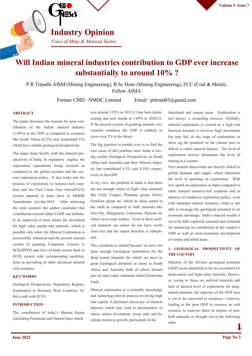

### **Will Indian mineral industries contribution to GDP ever increase substantially to around 10% ?**

P R Tripathi AISM (Mining Engineering), B Sc Hons (Mining Engineering), FCC (Coal & Metal), Fellow AIMA

Former CMD –NMDC Limited Email : prtcmd43@gmail.com

### **ABSTRACT**

The paper discusses the reasons for poor contribution of the Indian mineral industry (1.69%) to the GDP as compared to countries like South Africa (8.2%) and Australia(8.1%) which have similar geological prospectivity.

The paper deals briefly with the mineral prospectivity of India, its regulatory regime, the exploration expenditure being incurred as compared to the global scenario and the current exploration policy. It also looks into the practice of exploration in resource-rich countries and the First Come First Serve(FCFS) system adopted in India prior to MMDR Amendment Act-Jan.2015. After analysing the total scenario the author concludes that contribution towards India's GDP can definitely be improved if more mines are developed for high value metals and minerals, which is possible only when the Mineral Exploration is successfully enhanced and the present auction system of granting Composite License is SCRAPPED and Govt of India reverts back to FCFS system with corresponding modifications as prevailing in other advanced mineral rich countries.

### **KEY WORDS**

Geological Prospectivity, Regulatory Regime, Exploration in Resource Rich Countries, India's waft with FCFS.

### **INTRODUCTION**

The contribution of India's Mineral Sector (excluding Petroleum and Natural Gas) which

was around 1.93% in 2012-13 has been deteriorating and now stands at 1.69% in 2020-21. If the present system of granting mineral concessions continues the GDP is unlikely to cross even 2% in the future.

The big question to ponder over is to find the root cause of this problem since India is having similar Geological Prospectivity as South Africa and Australia and their Mineral Industry has contributed 8.2% and 8.10% respectively to the GDP.

In my view, the problem in India is that there are not enough mines of high value minerals like Gold, Copper, Platinum group, Silver, Fertilizer group etc, which lie deep seated in the earth as compared to bulk minerals like Iron Ore, Manganese, Limestone, Bauxite etc which occur near surface. Even in these surficial minerals our mines do not have world class size and the output therefore is suboptimal.

This condition is created because we have not done enough Geological exploration for the deep seated minerals for which we have as good Geological potential as exists in South Africa and Australia both of which formed part of same super continent called Gondwana Land.

Mineral exploration is a scientific knowledge and technology-driven process involving high risk capital. It facilitates discovery of mineral deposits which may lead to development of mines, attract investment, create jobs and facilitate inclusive growth, particularly in the

hinterland and remote areas. Exploration is not always a rewarding exercise. Globally, mineral exploration is viewed as a high risk business because it involves high investment but may fail, at any stage of exploration, to show up the potential of the chosen area to deliver a viable mineral deposit. The level of exploration activity determines the level of mining in a country.

New mineral discoveries are directly linked to global demand and supply which determine the level of spending on exploration. With low spend on exploration in India compared to other mineral resource-rich countries and in absence of conducive exploration policy, even with abundant natural resources, India is not able to leverage the geological potential to its economic advantage. India's mineral wealth is yet to be fully explored, assessed and extracted for enhancing its contribution to the country's GDP as well as socio-economic development of remote and tribal areas.

### **1. GEOLOGICAL PROSPECTIVITY OF THE COUNTRY**

Majority of the obvious geological potential (OGP) areas identified so far are accounted for deep-seated and high-value minerals. However, owing to focus on surficial minerals and lack of desired level of exploration for deepseated minerals, the majority of the OGP area is yet to be converted to resources / reserves, leading to the poor OGP to resource as well resource to reserves ratios in respect of nonbulk minerals as brought out in the following table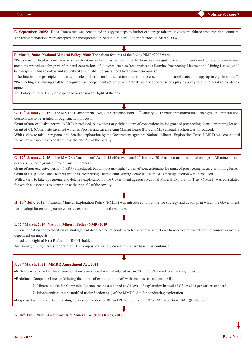**Volume 9, Issue 7**

**E. September, 2005:** Hoda Committee was constituted to suggest steps to further encourage mineral investment akin to resource-rich countries. The recommendations were accepted and incorporated in National Mineral Policy amended in March 2008.

**F. March, 2008: National Mineral Policy-2008:** The salient features of the Policy NMP=2008 were;

"Private sector to play primary role for exploration and emphasised that in order to make the regulatory environment conducive to private investment, the procedures for grant of mineral concessions of all types, such as Reconnaissance Permits, Prospecting Licenses and Mining Leases, shall be transparent and seamless and security of tenure shall be guaranteed to the concessionaires".

"The first-in-time principle in the case of sole applicants and the selection criteria in the case of multiple applicants to be appropriately elaborated". "Prospecting and mining shall be recognized as independent activities with transferability of concessions playing a key role in mineral sector development".

The Policy remained only on paper and never saw the light of the day.

**G. 12<sup>th</sup> January, 2015:** The MMDR (Amendment) Act, 2015 effective from 12<sup>th</sup> January, 2015 made transformational changes. All mineral concessions are to be granted through auction process.

Grant of non-exclusive permit (NERP) introduced, but without any right / claim of concessionaire for grant of prospecting license or mining lease. Grant of CL (Composite Licence) which is Prospecting License cum Mining Lease (PL-cum-ML) through auction was introduced.

With a view to take up regional and detailed exploration by the Government agencies National Mineral Exploration Trust (NMET) was constituted for which a lessee has to contribute at the rate 2% of the royalty.

**G. 12<sup>th</sup> January, 2015:** The MMDR (Amendment) Act, 2015 effective from 12<sup>th</sup> January, 2015 made transformational changes. All mineral concessions are to be granted through auction process.

Grant of non-exclusive permit (NERP) introduced, but without any right / claim of concessionaire for grant of prospecting license or mining lease. Grant of CL (Composite Licence) which is Prospecting License cum Mining Lease (PL-cum-ML) through auction was introduced.

With a view to take up regional and detailed exploration by the Government agencies National Mineral Exploration Trust (NMET) was constituted for which a lessee has to contribute at the rate 2% of the royalty.

**H. 13th July, 2016:** National Mineral Exploration Policy (NMEP) was introduced to outline the strategy and action plan which the Government has to adopt for ensuring comprehensive exploration of mineral resources.

**I. 12th March, 2019: National Mineral Policy (NMP) 2019**

Special attention for exploration of strategic and deep-seated minerals which are otherwise difficult to access and for which the country is mainly dependent on imports.

Introduces Right of First Refusal for RP/PL holders.

Auctioning in virgin areas for grant of CL (Composite Licence) on revenue share basis was continued.

**J. 28th March, 2021: MMDR Amendment Act, 2021**

NERP was removed as there were no takers ever since it was introduced in Jan.2015. NERP failed to attract any investor.

Redefined Composite Licence (diluting the norms of exploration level) with seamless transition to ML:

 $\Diamond$  Mineral blocks for Composite Licence can be auctioned at G4 level of exploration instead of G3 level as per earlier standard.

 $\Diamond$  Private entities can be notified under Section 4(1) of the MMDR Act for conducting exploration.

Dispensed with the rights of existing concession holders of RP and PL for grant of PL &/or ML – Section 10A(2)(b) & (c)

**K. 18th June, 2021: Amendments to Mineral (Auction) Rules, 2015.**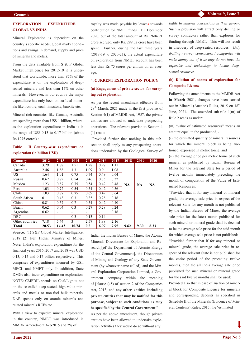### **EXPLORATION EXPENDITURE : GLOBAL VS INDIA**

Mineral Exploration is dependent on the country's specific needs, global market conditions and swings in demand, supply and price of minerals and metals.

From the data available from S & P Global Market Intelligence for 2012-19 it is understood that worldwide, more than 85% of the expenditure is on the exploration of deepseated minerals and less than 15% on other minerals. However, in our country the major expenditure has only been on surficial minerals like iron ore, coal, limestone, bauxite etc.

Mineral-rich countries like Canada, Australia are spending more than US\$ 1 billion, whereas the exploration expenditure in India is in the range of US\$ 0.13 to 0.17 billion (about Rs 1275 crores) :

### **Table – II Country-wise expenditure on exploration (in billion USD)**

| Country         | 2012     | 2013                     | 2014  | 2015 | 2016 | 2017 | 2018      | 2019 | 2020      |
|-----------------|----------|--------------------------|-------|------|------|------|-----------|------|-----------|
| Canada          | 3.29     | 1.88                     | 1.51  | 1.28 | 0.97 | 1.11 |           |      |           |
| Australia       | 2.46     | 1.88                     | 1.3   | 1.09 | 0.9  | 1.08 |           |      |           |
| US.             | 1.64     | 1.01                     | 0.75  | 0.74 | 0.49 | 0.64 |           |      |           |
| Russia          | 0.62     | 0.72                     | 0.54  | 0.46 | 0.35 | 0.32 |           |      |           |
| Mexico          | 1.23     | 0.87                     | 0.75  | 0.54 | 0.42 | 0.48 | <b>NA</b> | NA   | <b>NA</b> |
| Peru            | 1.03     | 0.72                     | 0.54  | 0.54 | 0.42 | 0.56 |           |      |           |
| Chile           | 1.03     | 0.87                     | 0.75  | 0.69 | 0.42 | 0.64 |           |      |           |
| South Africa    | $\theta$ | 0.43                     | 0.3   | 0.35 | 0.28 | 0.16 |           |      |           |
| China           | 0.81     | 0.57                     | 0.7   | 0.54 | 0.42 | 0.40 |           |      |           |
| Brazil          | 0.62     | 0.04                     | 0.3   | 0.27 | 0.28 | 0.24 |           |      |           |
| Argentina       | 0.62     | $\overline{\phantom{0}}$ | -     |      |      | 0.16 |           |      |           |
| <b>DRC</b>      |          |                          | 0.3   | 0.13 | 0.14 |      |           |      |           |
| Other countries | 7.18     | 5.44                     | 3     | 2.57 | 1.88 | 2.16 |           |      |           |
| <b>Total</b>    | 20.53    | 14.43                    | 10.74 | 9.2  | 6.97 | 7.95 | 9.62      | 9.30 | 8.33      |

**Source:** (1) S&P Global Market Intelligence, 2018 (2) **For India**: Ministry of Mines; **Note:** India's exploration expenditure for the financial years 2016, 2017 and 2018 was USD 0.13, 0.15 and 0.17 billion respectively. This comprises of expenditures incurred by GSI, MECL and NMET only. In addition, State DMGs also incur expenditure on exploration. NOTE: CMPDIL spends on Coal/Lignite not on the so called deep-seated, high value minerals and metals or non-fuel bulk minerals. DAE spends only on atomic minerals and related minerals REEs etc.

With a view to expedite mineral exploration in the country, NMET was introduced in MMDR Amendment Act-2015 and 2% of

royalty was made payable by lessees towards contribution for NMET funds. Till December 2020, out of the total amount of Rs. 2604.91 crore accrued, only Rs. 299.02 crore have been spent. Further, during the last three years  $(2018-19)$  to  $2020-21$ ), the actual expenditure on exploration from NMET account has been less than Rs 75 crores per annum on an average.

### **4. CURRENT EXPLORATION POLICY**

### **(a) Engagement of private sector for carrying out exploration**

As per the recent amendment effective from 28th March, 2021 made in the first proviso of Section 4(1) of MMDR Act, 1957, the private entities are allowed to undertake prospecting operations. The relevant proviso to Section 4 (1) reads:

"Provided further that nothing in this subsection shall apply to any prospecting operations undertaken by the Geological Survey of

India, the Indian Bureau of Mines, the Atomic Minerals Directorate for Exploration and Research][of the Department of Atomic Energy of the Central Government], the Directorates of Mining and Geology of any State Government (by whatever name called), and the Mineral Exploration Corporation Limited, a Government company within the meaning of [clause (45) of section 2 of the Companies Act, 2013, and any **other entities including private entities that may be notified for this purpose, subject to such conditions as may be specified by the Central Government**."

As per the above amendment, though private entities have been allowed to undertake exploration activities they would do so without any

rights to *mineral concessions in their favour*. Such a provision will attract only drilling or survey contractors rather than explorers for funding through NMET. This will not result in discovery of deep-seated resources. *Only drilling / survey contractors / companies will make money out of it as they do not have the expertise and technology to locate deepseated resources*.

### **(b) Dilution of norms of exploration for Composite License**

Following the amendments to the MMDR Act **in March** 2021, changes have been carried out in Mineral (Auction) Rules, 2015 on 18<sup>th</sup> June, 2021. The amended sub-rule 1(m) of Rule 2 reads as under:

(m) "value of estimated resources" means an amount equal to the product of, -

(i) the estimated quantity of mineral resources for which the mineral block is being auctioned, expressed in metric tonne; and

(ii) the average price per metric tonne of such mineral as published by Indian Bureau of Mines for the relevant State for a period of twelve months immediately preceding the month of computation of the Value of Estimated Resources:

"Provided that if for any mineral or mineral grade, the average sale price in respect of the relevant State for any month is not published by the Indian Bureau of Mines, the average sale price for the latest month published for such mineral or mineral grade shall be deemed to be the average sale price for the said month for which average sale price is not published:

"Provided further that if for any mineral or mineral grade, the average sale price in respect of the relevant State is not published for the entire period of the preceding twelve months, then the all India average sale price published for such mineral or mineral grade for the said twelve months shall be used:

Provided also that in case of auction of mineral block for Composite Licence for minerals and corresponding deposits as specified in Schedule II of the Minerals (Evidence of Mineral Contents) Rules, 2015, the 'estimated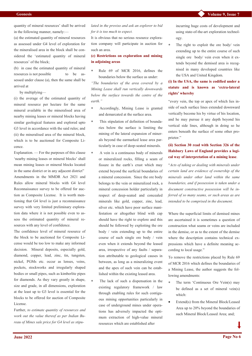quantity of mineral resources' shall be arrived in the following manner, namely:—

(a) the estimated quantity of mineral resources as assessed under G4 level of exploration for the mineralised area in the block shall be considered the 'estimated quantity of mineral resources' of the block;

(b) in case the estimated quantity of mineral resources is not possible to be assessed under clause (a), then the same shall be arrived at

by multiplying—

(i) the average of the estimated quantity of mineral resource per hectare for the same mineral available in the mineralised area of nearby mining leases or mineral blocks having similar geological features and explored upto G3 level in accordance with the said rules; and (ii) the mineralised area of the mineral block, which is to be auctioned for Composite Licence.

Explanation. — For the purposes of this clause 'nearby mining leases or mineral blocks' shall mean mining leases or mineral blocks located in the same district or in any adjacent district" Amendments in the MMDR Act 2021 and Rules allow mineral blocks with G4 level Reconnaissance survey to be offered for auction as Composite License. It is worth mentioning that G4 level is just a reconnaissance survey with very limited preliminary exploration data where it is not possible even to assess the estimated quantity of mineral resources with any level of confidence.

The confidence level of mineral resource of the block to be auctioned for Composite License would be too low to make any informed decision. Mineral deposits, especially gold, diamond, copper, lead, zinc, tin, tungsten, nickel, PGMs etc. occur as lenses, veins, pockets, stockworks and irregularly shaped bodies or small pipes, such as kimberlite pipes for diamonds. As they vary greatly in shape, size and grade, in all dimensions, exploration at the least up to G3 level is essential for the blocks to be offered for auction of Composite License.

Further, *to estimate quantity of resources and work out the value thereof as per Indian Bureau of Mines sale price for G4 level as stipu-* *lated in the proviso and ask an explorer to bid for it is too much to expect.*

It is obvious that no serious resource exploration company will participate in auction for such an area.

### **(c) Restrictions on exploration and mining in adjoining areas**

 Rule 69 of MCR 2016, defines the boundaries below the surface as under:

*"The boundaries of the area covered by a Mining Lease shall run vertically downwards below the surface towards the centre of the earth."*

- Accordingly, Mining Lease is granted and demarcated at the surface area.
- This stipulation of definition of boundaries below the surface is limiting the mining of the lateral expansion of minerals beyond the earmarked lease area particularly in case of deep-seated minerals.
- A vein is a continuous body of minerals or mineralized rocks, filling a seam of fissure in the earth's crust which may extend beyond the surficial boundaries of a mineral concession. Since the ore body belongs to the vein or mineralized rock, a mineral concession holder particularly in respect of deep-seated and concealed minerals like gold, copper, zinc, lead, silver etc. which have poor surface manifestation or altogether blind with cap should have the right to explore and this should be followed by exploiting the ore body / vein extending up to the entire course of such single ore body / vein even when it extends beyond the leased area, irrespective of any faults / separation attributable to geological causes in between, as long as a mineralizing event and the apex of such vein can be established within the existing leased area.
- The lack of such a dispensation in the existing regulatory framework / law through enabling rules for such contiguous mining opportunities particularly in case of underground mines under operations has adversely impacted the optimum extraction of high-value mineral resources which are established after

incurring huge costs of development and using state-of-the-art exploration technology.

 The right to exploit the ore body/ vein extending up to the entire course of such single ore body/ vein even when it extends beyond the demised area is recognised in many developed countries like the USA and United Kingdom.

### **(i) In the USA, the same is codified under a statute and is known as 'extra-lateral rights' whereby**

"every vein, the top or apex of which lies inside of such surface lines extended downward vertically become his by virtue of his location, and he may pursue it any depth beyond his vertical side lines, although in doing so he enters beneath the surface of some other proprietor."

### **(ii) Section 30 read with Section 326 of the Halsbury Laws of England provides a logical way of interpretation of a mining lease**.

"*Acts of taking or dealing with minerals under certain land are evidence of ownership of the minerals under other land within the same boundaries, and if possession is taken under a document constructive possession will be inferred of so many seams, or such areas as are intended to be comprised in the document.*

Where the superficial limits of demised mines are ascertained it is sometimes a question of construction what seams or veins are included in the demise, or as to the extent of the demise where the description contains technical expressions which have a definite meaning according to local usage."

To remove the restrictions placed by Rule 69 of MCR 2016 which defines the boundaries of a Mining Lease, the author suggests the following amendments:

- The term 'Continuous Ore Vein(s) may be defined as a set of mineral vein(s) which:
- Extend(s) from the Mineral Block/Leased Area up to 20% beyond the boundaries of such Mineral Block/Leased Area; and;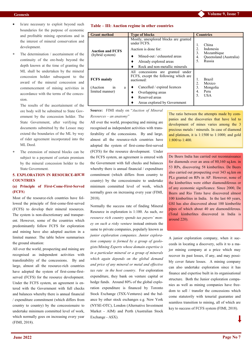- Is/are necessary to exploit beyond such boundaries for the purpose of economic and profitable mining operations and in the interest of mineral conservation and development.
- The determination / ascertainment of the continuity of the ore-body beyond the depth known at the time of granting the ML shall be undertaken by the mineral concession holder subsequent to the award of the mineral concession and commencement of mining activities in accordance with the terms of the concession.

The results of the ascertainment of the ore body will be submitted to State Government by the concession holder. The State Government, after verifying the documents submitted by the Lessee may extend the boundaries of the ML by way of rider agreement incorporated into the ML Deed.

 The extension of mineral blocks can be subject to a payment of certain premium by the mineral concession holder to the State Government.

### **5. EXPLORATION IN RESOURCE-RICH COUNTRIES**

### **(a) Principle of First-Come-First-Served (FCFS**)

Most of the resource-rich countries have followed the principle of first-come-first-served (FCFS) to develop their mineral resources. The system is non-discretionary and transparent. However, some of the countries which predominantly follow FCFS for exploration and mining have also adopted auction in a limited manner. The table below summarises the ground situation:

All over the world, prospecting and mining are recognised as independent activities with transferability of the concessions. By and large, almost all the resource-rich countries have adopted the system of first-come-firstserved (FCFS) for the resource development. Under the FCFS system, an agreement is entered with the Government with full checks and balances whereby there is annual financial / expenditure commitment (which differs from country to country) by the concessionaire to undertake minimum committed level of work, which normally goes on increasing every year (FIMI, 2018).

| <b>Grant method</b>                                          | <b>Type of blocks</b>                                                                                                                                                                          | <b>Countries</b>                                                                             |  |  |
|--------------------------------------------------------------|------------------------------------------------------------------------------------------------------------------------------------------------------------------------------------------------|----------------------------------------------------------------------------------------------|--|--|
| <b>Auction and FCFS</b><br>(hybrid system)                   | Mostly, unexplored blocks are granted<br>under FCFS.<br>Auction is done for:<br>Mined-out / exhausted areas<br>Already explored areas<br>Rock and non-metallic minerals                        | China<br>2.<br>Indonesia<br>3.<br>Mozambique<br>Queensland (Australia)<br>4.<br>5.<br>Russia |  |  |
| <b>FCFS</b> mainly<br>(Auction<br>in<br>a<br>limited manner) | All concessions are granted under<br>FCFS, except the following which are<br>auctioned:<br>Cancelled / expired licences<br>Overlapping areas<br>Reserved areas<br>Areas explored by Government | <b>Brazil</b><br>1.<br>2.<br>Mexico<br>3.<br>Mongolia<br>4.<br>Peru<br><b>USA</b><br>5.      |  |  |

**Source:** FIMI study on "*Auction of Mineral Resources – an anatomy*"

All over the world, prospecting and mining are recognised as independent activities with transferability of the concessions. By and large, almost all the resource-rich countries have adopted the system of first-come-first-served (FCFS) for the resource development. Under the FCFS system, an agreement is entered with the Government with full checks and balances whereby there is annual financial / expenditure commitment (which differs from country to country) by the concessionaire to undertake minimum committed level of work, which normally goes on increasing every year (FIMI, 2018).

Normally the success rate of finding Mineral Resource in exploration is 1:100. As such, *no resource rich country spends tax payers' money on such a risky venture* instead entrusts the same to private companies, popularly known as *junior exploration companies*. *Junior exploration company is formed by a group of geologists/Mining Experts whose domain expertise is in a particular mineral or a group of minerals which again depends on the global demand and price of any mineral or metal and effective tax rate in the host country*. For exploration expenditure, they bank on venture capital or hedge funds. Around 80% of the global exploration expenditure is financed by Toronto Stock Exchange (TSX-Ventures) and the balance by other stock exchanges e.g. New York (NYSE-OTC), London (Alternative Investment Market - AIM) and Perth (Australian Stock Exchange - ASX).

The ratio between the attempts made by companies and the discoveries that have led to development of mines varies among the 3 precious metals / minerals. In case of diamond and platinum, it is 1:1500 to 1:1000; and gold 1:800 to 1:400.

De Beers India has carried out reconnaissance for diamonds over an area of 80,160 sq.km. in 53 RPs, discovering 58 kimberlites. De Beers also carried out prospecting over 343 sq.km on PLs granted on RPs in AP. However, none of the kimberlites were either diamondiferous or of any economic significance. Since 2000, De Beers and Rio Tinto have discovered almost 100 kimberlites in India. In the last 60 years, GSI has also discovered about 100 kimberlite pipes of which about 40 are diamondiferous. (Total kimberlites discovered in India is around 220).

A junior exploration company, when it succeeds in locating a discovery, sells it to a major mining company at a price which may recover its past losses, if any, and may possibly cover future losses. A mining company can also undertake exploration since it has finance and expertise built in its organisational structure. Both the Junior exploration companies as well as mining companies have freedom to sell / transfer the concessions which come statutorily with tenurial guarantee and seamless transition to mining, all of which are key to success of FCFS system (FIMI, 2018).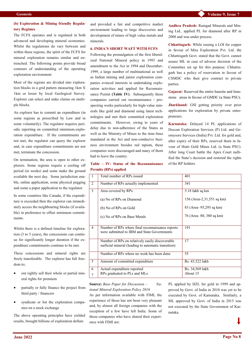**Andhra Pradesh:** Ramgad Minerals and Mining Ltd., applied PL for diamond after RP in

**Chhattisgarh:** While issuing a LOI for copper in favour of Mira Exploration Pvt. Ltd. the Chhattisgarh Govt. stated that the Govt. cannot assure ML in case of adverse decision of the Committee set up for this purpose. Chhattisgarh has a policy of reservation in favour of CSMDC who then give contract to private

**Gujarat:** Reserved the entire bauxite and limestone areas in favour of GMDC (a State PSU). **Jharkhand:** GSI getting priority over prior applications for exploration by private entre-

**Karnataka:** Delayed 14 PL applications of Deccan Exploration Services (P) Ltd. and Geomysore Services (India) Pvt. Ltd. for gold and, after expiry of their RPs, reserved them in favour of Hutti Gold Mines Ltd. (a State PSU). After long Court battle the Apex Court nullified the State's decision and restored the rights

2008 and was under process.

parties.

preneurs.

of the RP holders.

### **(b) Exploration & Mining friendly Regulatory Regimes**

The FCFS operates and is regulated in both advanced and developing mineral economies. Whilst the regulations do vary between and within these regions, the spirit of the FCFS for mineral exploration remains similar and entrenched. The following points provide broad contours of understanding of the operating exploration environment:

Most of the regions are divided into exploration blocks in a grid pattern measuring 1km X 1km or lesser by local Geological Survey. Explorer can select and stake claims on multiple blocks.

An explorer has to commit an expenditure (in some regions as prescribed by Law and in some voluntarily). The regulator requires periodic reporting on committed minimum exploration expenditure. If the commitments are not met, the regulator can query the explorer and, in case expenditure commitments are not met, terminate the concession.

On termination, the area is open to other explorers. Some regions require a cooling off period (in weeks) and some make the ground available the next day. Some jurisdiction enable, online application, some physical pegging and some a paper application to the regulator.

In some countries like Canada, if the expenditure is exceeded then the explorer can immediately access the neighbouring blocks (if available) in preference to offset minimum commitments.

Whilst there is a defined timeline for exploration (3 to 5 years), the concessions can continue for significantly longer duration if the expenditure commitments continue to be met.

These concessions and mineral rights are freely transferable. The explorer has full freedom to;

- out rightly sell their whole or partial mineral rights for premium
- partially or fully finance the project from third party / financers
- syndicate or list the exploration companies on a stock exchange

The above operating principles have yielded results, brought billions of exploration dollars

and provided a fair and competitive market environment leading to large discoveries and development of mines of high value metals and minerals.

### **6. INDIA'S SHORT WAFT WITH FCFS**

Following the promulgation of the first liberalized National Mineral policy in 1993 and amendment to the Act in 1994 and December-1999, a large number of multinational as well as Indian mining and junior exploration companies evinced interests in undertaking exploration activities and applied for Reconnaissance Permit **(Table IV)**. Subsequently these companies carried out reconnaissance / prospecting works particularly for high-value minerals like gold and diamond using latest technologies and met their committed exploration commitments. However, owing to years of delay due to non-adherence of the States as well as the Ministry of Mines to the time-lines mandated in the Act and non-conducive business environment besides red tapism, these companies were discouraged and many of them had to leave the country.

### **Table – IV: Status of the Reconnaissance Permits (RPs) applied**

1 Total number of RPs issued 401 2 Number of RPs actually implemented 341 3 Area covered by RPs (a) No of RPs on Diamond (b) No of RPs on Gold (c) No of RPs on Base Metals 5.18 lakh sq km 156 (Area-2,31,551 sq km) 83 (Area- 95,295 sq km) 76 (Area- 80, 380 sq km) 4 Number of RPs where final reconnaissance reports were submitted to IBM and State Governments 191 Number of RPs on relatively easily discoverable surficial mineral (leading to automatic transition) 17 Number of RPs where no work has been done 55 5 Amount of committed expenditure Rs. 43,522 lakh 6 7 Actual expenditure reported RPs graduated to PLs and MLs Rs. 34,569 lakh About 15

**Source:** *Base Paper for Discussion – National Mineral Exploration Policy 2016*

As per information available with FIMI, the experience of those has not been very pleasant and, by almost all foreign companies with the exception of a few have left India. Some of those companies who have shared their experience with FIMI are:

PL applied by HZL for gold in 1999 and approved by Govt. of India in 2010 was yet to be executed by Govt. of Karnataka. Similarly, a ML approved by Govt. of India in 2015 was not executed by the State Government of Karnataka.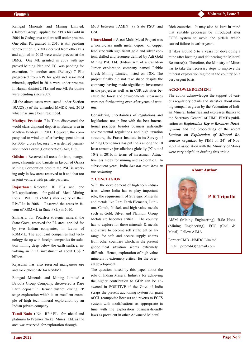Ramgad Minerals and Mining Limited, (Baldota Group), applied for 7 PLs for Gold in 2004 in Gadag area and are still under process. One other PL granted in 2010 is still pending for execution. Six MLs derived from other PLs and applied in 2012 were under process at the DMG. One ML granted in 2008 with approved Mining Plan and EC, was pending for execution. In another area (Bellary) 7 PLs progressed from RPs for gold and associated minerals, applied in 2014 were under process. In Hassan district 2 PLs and one ML for dunite were pending since 2007.

All the above cases were saved under Section 10A(2)(b) of the amended MMDR Act, 2015 which has since been rescinded.

**Madhya Pradesh:** Rio Tinto discovered the world class diamond deposit in Bunder area in Madhya Pradesh in 2011. However, the company had to wind up, after having spent almost Rs 500/- crores because it was denied permission under Forest (Conservation) Act, 1980.

**Odisha :** Reserved all areas for iron, manganese, chromite and bauxite in favour of Orissa Mining Corporation despite the PSU is working only in few areas reserved to it and that too in joint venture with private partners.

**Rajasthan :** Rejected 10 PLs and one ML applications for gold of Metal Mining India Pvt. Ltd. (MMI) after expiry of their RPs/PLs in 2008. Reserved the areas in favour of RSMML (a State PSU) in 2010.

Similarly, for Potash-a strategic mineral the State Govt., reserved the PL area, applied for by two Indian companies, in favour of RSMML. The applicant companies had technology tie-up with foreign companies for solution mining deep below the earth surface, involving an initial investment of about US\$ 2 billion.

Rajasthan has also reserved manganese ore and rock phosphate for RSMML.

Ramgad Minerals and Mining Limited a Baldota Group Company, discovered a Rare Earth deposit in Barmer district, during RP stage exploration which is an excellent example of high tech mineral exploration by an Indian private company.

**Tamil Nadu :** No RP / PL for nickel and platinum to Premier Nickel Mines Ltd. as the area was reserved for exploration through

MoU between TAMIN (a State PSU) and GSI.

**Uttarakhand :** Ascot Multi Metal Project was a world-class multi metal deposit of copper lead zinc with significant gold and silver content, drilled and resource defined by Adi Gold Mining Pvt. Ltd. (Indian arm of a Canadian Junior exploration company named Pebble Creek Mining Limited, listed on TSX. The project finally did not take shape despite the company having made significant investment in the project as well as in CSR activities because the forest and environmental clearances were not forthcoming even after years of waiting.

Considering uncertainties of regulations and legislations not in line with the best international practices besides business unfriendly environmental regulations and high taxation structure, the Fraser Institute in its Survey of Mining Companies has put India among the 10 least attractive jurisdictions globally (97 out of 104) in 2016, in terms of investment Attractiveness Index for mining and exploration. In subsequent years, India *has not even been in the reckoning.*

### **7. CONCLUSION**

With the development of high tech industries, where India has to play important role, the requirement of Strategic Minerals and metals like Rare Earth Elements, Lithium, Cobalt, Nickel, and high value metals such as Gold, Silver and Platinum Group Metals etc becomes critical. The country has to explore for these minerals & metals and strive to become self sufficient or arrange for safe and secure supply chains from other countries which, in the present geopolitical situation seems extremely difficult. Hence, exploration of high value minerals is extremely critical for the overall development.

The question raised by this paper about the role of Indian Mineral Industry for achieving the higher contribution to GDP can be answered in POSITIVE if the Govt of India scraps the present auctioning system for grant of CL (composite license) and reverts to FCFS system with modifications as appropriate in tune with the exploration business-friendly laws as prevalent in other Advanced Mineral

Rich countries. It may also be kept in mind that suitable processes be introduced after FCFS system to avoid the pitfalls which caused failure in earlier years.

It takes around 5 to 8 years for developing a mine after locating and delineating the Mineral Resource(s). Therefore, the Ministry of Mines has to take the necessary steps to improve the mineral exploration regime in the country on a very urgent basis.

### **ACKNOWLEDGEMENT**

The author acknowledges the support of various regulatory details and statistics about mining companies given by the Federation of Indian Mineral Industries and expresses thanks to the Secretary General of FIMI. FIMI's publication on *Exploration-Key to Resource Development* and the proceedings of the recent Seminar on *Exploration of Mineral Resources* organized by FIMI on 24<sup>th</sup> of Nov. 2021 in association with the Ministry of Mines were very helpful in drafting this article.



(Mining Engineering), FCC (Coal & Metal), Fellow AIMA

Former CMD –NMDC Limited Email : prtcmd43@gmail.com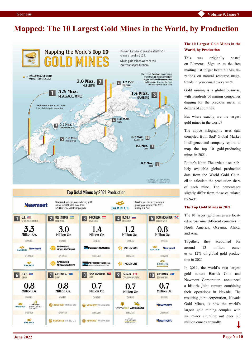### **Mapped: The 10 Largest Gold Mines in the World, by Production**



Million Oz

Million Oz

Million Oz. OVINTRS

> OPERATOR BARRICK

AUSTRALIA

 $0.7$ Million Oz. OWNERS **Newmont** OPERATOR **Newmont** 

BODDINGTON

**Newmont** 

**The 10 Largest Gold Mines in the World, by Production**

This was originally posted on [Elements.](https://elements.visualcapitalist.com/largest-gold-mines-by-production/) Sign up to the free [mailing list](https://elements.visualcapitalist.com/subscribe/) to get beautiful visualizations on natural resource megatrends in your email every week.

Gold mining is a global business, with hundreds of mining companies digging for the precious metal in dozens of countries.

But where exactly are the largest gold mines in the world?

The above infographic uses data compiled from [S&P Global Market](https://pbs.twimg.com/media/FO9FBk7WYAEt5rb.png)  [Intelligence](https://pbs.twimg.com/media/FO9FBk7WYAEt5rb.png) and company reports to map the top 10 gold-producing mines in 2021.

Editor's Note: The article uses publicly available global production data from the [World Gold Coun](https://www.gold.org/goldhub/research/gold-demand-trends/gold-demand-trends-full-year-2021/supply)[cil](https://www.gold.org/goldhub/research/gold-demand-trends/gold-demand-trends-full-year-2021/supply) to calculate the production share of each mine. The percentages slightly differ from those calculated by S&P.

### **The Top Gold Mines in 2021**

The 10 largest gold mines are located across nine different countries in North America, Oceania, Africa, and Asia.

Together, they accounted for around 13 million ounces or 12% of [global gold produc](https://elements.visualcapitalist.com/visualizing-global-gold-production-by-country-in-2020/)[tion](https://elements.visualcapitalist.com/visualizing-global-gold-production-by-country-in-2020/) in 2021.

In 2019, the world's two largest [gold miners—B](https://elements.visualcapitalist.com/the-worlds-top-10-gold-mining-companies/)arrick Gold and Newmont Corporation—announced a historic joint venture combining their operations in Nevada. The resulting joint corporation, Nevada Gold Mines, is now the world's largest gold mining complex with six mines churning out over 3.3 million ounces annually.

|                        | OWNERS                                      | OWNERS                                                                           | OWNERS                                    | OWNERS                                               |
|------------------------|---------------------------------------------|----------------------------------------------------------------------------------|-------------------------------------------|------------------------------------------------------|
| <b>BARRICK</b>         | <b>POLYUS</b>                               | <b>FREEPORT-MCMORAN</b>                                                          | NAVOI MINING &<br>METALLURGY COMBINAT     | <b>Newmont</b><br><b>BARRICK</b>                     |
|                        | <b>OPERATOR</b>                             | <b><i>GPERATOR</i></b>                                                           | OPERATOR                                  | OPERATOR                                             |
| <b>BA</b><br>融加        | POLYUS                                      | <b>PT FREEPORT INDONESIA</b><br>Fa<br>Allian of Freshirt Multifluir Dager & Evid | NAVOI MINING &<br>METALLURGY COMBINAT     | <b>BARRICK</b>                                       |
| AU<br>10<br><b>BOD</b> | <b>CANADA I-1</b><br>9<br>CANADIAN MALARTIC | PAPUA NEW GUINEA<br>8<br>LHIR                                                    | <b>AUSTRALIA</b><br>$\mathbf{Z}$<br>CADIA | D.R.C.<br>6<br>KIBALI                                |
| Mi                     | 0.7<br>Million Oz.                          | 0.7<br>Million Oz.                                                               | 0.8<br>Million Oz.                        | 0.8<br>Million Oz.                                   |
|                        | OWNERS                                      | OWNERS                                                                           | OWNERS                                    | OWNERS                                               |
| Ne                     | <b>AGNICO EAGLE</b><br><b>YAMANAGOLD</b>    | NEWCREST MINING LTD                                                              | <b>NEWCREST MINING LTD</b>                | <b>ANGLOGOLD</b><br><b>BARRICK</b><br><b>ASHANTI</b> |
|                        | OPERATOR                                    | OPERATOR                                                                         | OPERATOR                                  | <b>OPERATOR</b>                                      |
| Ne                     | MINE<br>CANADIAN<br><b>MALARTIC</b>         | NEWCREST MINING LTD                                                              | <b>NEWCREST MINING LTD</b>                | <b>BARRICK</b>                                       |

Million Oz

Million Oz.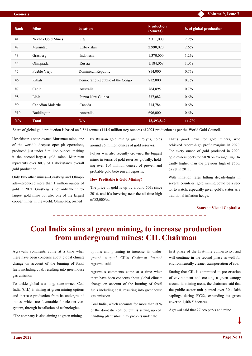| <b>Rank</b> | <b>Mine</b>       | <b>Location</b>                  | <b>Production</b><br>(ounces) | % of global production |
|-------------|-------------------|----------------------------------|-------------------------------|------------------------|
| #1          | Nevada Gold Mines | U.S.                             | 3,311,000                     | $2.9\%$                |
| #2          | Muruntau          | Uzbekistan                       | 2,990,020                     | 2.6%                   |
| #3          | Grasberg          | Indonesia                        | 1,370,000                     | 1.2%                   |
| #4          | Olimpiada         | Russia                           | 1,184,068                     | 1.0%                   |
| #5          | Pueblo Viejo      | Dominican Republic               | 814,000                       | $0.7\%$                |
| #6          | Kibali            | Democratic Republic of the Congo | 812,000                       | $0.7\%$                |
| #7          | Cadia             | Australia                        | 764,895                       | $0.7\%$                |
| #8          | Lihir             | Papua New Guinea                 | 737,082                       | 0.6%                   |
| #9          | Canadian Malartic | Canada                           | 714,784                       | $0.6\%$                |
| #10         | Boddington        | Australia                        | 696,000                       | 0.6%                   |
| N/A         | <b>Total</b>      | N/A                              | 13,393,849                    | 11.7%                  |

Share of global gold production is based on 3,561 tonnes (114.5 million troy ounces) of 2021 production as per the [World Gold Council.](https://www.gold.org/goldhub/research/gold-demand-trends/gold-demand-trends-full-year-2021/supply)

Uzbekistan's state-owned Muruntau mine, one of the world's deepest open-pit operations, produced just under 3 million ounces, making it the second-largest gold mine. Muruntau represents over 80% of Uzbekistan's overall gold production.

Only two other mines—Grasberg and Olimpiada—produced more than 1 million ounces of gold in 2021. Grasberg is not only the thirdlargest gold mine but also one of the largest copper mines in the world. Olimpiada, owned

by Russian gold mining giant Polyus, holds around 26 million ounces of gold reserves.

Polyus was also recently crowned the biggest miner in terms of gold reserves globally, holding over 104 million ounces of proven and probable gold between all deposits.

### **How Profitable is Gold Mining?**

The price of gold is up by around 50% since 2016, and it's hovering near the all-time high of \$2,000/oz.

That's good news for gold miners, who achieved [record](https://www.usfunds.com/resource/gold-miners-recorded-record-high-margins-in-2020/)-high profit margins in 2020. For every ounce of gold produced in 2020, gold miners pocketed \$828 on average, significantly higher than the previous high of \$666/ oz set in 2011.

With inflation rates hitting decade-highs in several countries, gold mining could be a sector to watch, especially given gold's status as a traditional inflation hedge.

### **Source : Visual Capitalist**

### **Coal India aims at green mining, to increase production from underground mines: CIL Chairman**

Agrawal's comments come at a time when there have been concerns about global climate change on account of the burning of fossil fuels including coal, resulting into greenhouse gas emission

To tackle global warming, state-owned Coal India (CIL) is aiming at green mining options and increase production from its underground mines, which are favourable for cleaner ecosystem, through installation of technologies.

"The company is also aiming at green mining

options and planning to increase its underground output," CIL's Chairman Pramod Agrawal said.

Agrawal's comments come at a time when there have been concerns about global climate change on account of the burning of fossil fuels including coal, resulting into greenhouse gas emission.

Coal India, which accounts for more than 80% of the domestic coal output, is setting up coal handling plant/silos in 35 projects under the

first phase of the first-mile connectivity, and will continue in the second phase as well for environmentally cleaner transportation of coal.

Stating that CIL is committed to preservation of environment and creating a green canopy around its mining areas, the chairman said that the public sector unit planted over 30.4 lakh saplings during FY22, expanding its green cover to 1,468.5 hectares.

Agrawal said that 27 eco parks and mine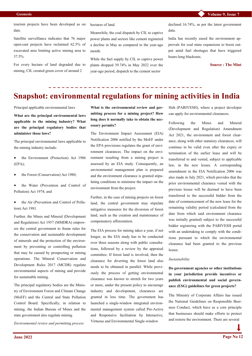tourism projects have been developed as on date.

Satellite surveillance indicates that 76 major open-cast projects have reclaimed 62.5% of excavated area limiting active mining area to 37.5%.

For every hectare of land degraded due to mining, CIL created green cover of around 2

hectares of land.

Meanwhile, the coal dispatch by CIL to captive power plants and sectors like cement registered a decline in May as compared to the year-ago month.

While the fuel supply by CIL to captive power plants dropped 39.74% in May 2022 over the year-ago period, dispatch to the cement sector

declined 16.74%, as per the latest government data.

India has recently eased the environment approvals for coal mine expansions to boost output amid fuel shortages that have triggered hours-long blackouts.

**Source : The Mint**

## **Snapshot: environmental regulations for mining activities in India**

Principal applicable environmental laws

**What are the principal environmental laws applicable to the mining industry? What are the principal regulatory bodies that administer those laws?**

The principal environmental laws applicable to the mining industry include:

- the Environment (Protection) Act 1986 (EPA);
- the Forest (Conservation) Act 1980;
- the Water (Prevention and Control of Pollution) Act 1974; and
- the Air (Prevention and Control of Pollution) Act 1981.

Further, the Mines and Mineral (Development and Regulation) Act 1957 (MMDRA) empowers the central government to frame rules for the conservation and sustainable development of minerals and the protection of the environment by preventing or controlling pollution that may be caused by prospecting or mining operations. The Mineral Conservation and Development Rules 2017 (MCDR) regulate environmental aspects of mining and provide for sustainable mining.

The principal regulatory bodies are the Ministry of Environment Forest and Climate Change (MoEF) and the Central and State Pollution Control Board. Specifically, in relation to mining, the Indian Bureau of Mines and the state government also regulate mining.

*Environmental review and permitting process*

**What is the environmental review and permitting process for a mining project? How long does it normally take to obtain the necessary permits?**

The Environment Impact Assessment (EIA) Notification 2006 notified by the MoEF under the EPA provisions regulates the grant of environment clearances. The impact on the environment resulting from a mining project is assessed by an EIA study. Consequently, an environmental management plan is prepared and the environment clearance is granted stipulating conditions to minimise the impact on the environment from the project.

Further, in the case of mining projects on forest land, the central government may stipulate mitigative measures for the diversion of forest land, such as the creation and maintenance of compensatory afforestation.

The EIA process for mining takes a year, if not longer, as the EIA study has to be conducted over three seasons along with public consultations, followed by a review by the appraisal committee. If forest land is involved, then the clearance for diverting the forest land also needs to be obtained in parallel. While previously the process of getting environmental clearance was known to stretch for two years or more, under the present policy to encourage industry and development, clearances are granted in less time. The government has launched a single-window integrated environmental management system called Pro-Active and Responsive facilitation by Interactive, Virtuous and Environmental Single-window

Hub (PARIVESH), where a project developer can apply for environmental clearances.

Following the Mines and Mineral (Development and Regulation) Amendment Act 2021, the environment and forest clearance, along with other statutory clearances, will continue to be valid even after the expiry or termination of the earlier lease and will be transferred to and vested, subject to applicable law, in the new lessee. A corresponding amendment in the EIA Notification 2006 was also made in July 2021, which provides that the prior environmental clearance vested with the previous lessee will be deemed to have been transferred to the successful bidder from the date of commencement of the new lease for the remaining validity period (calculated from the date from which said environment clearance was initially granted) subject to the successful bidder registering with the PARIVESH portal with an undertaking to comply with the conditions pursuant to which the environmental clearance had been granted to the previous lessee.

### *Sustainability*

**Do government agencies or other institutions in your jurisdiction provide incentives or publish environmental and social governance (ESG) guidelines for green projects?**

The Ministry of Corporate Affairs has issued the National Guidelines on Responsible Business Conduct, which have as a core principle that businesses should make efforts to protect and restore the environment. There are several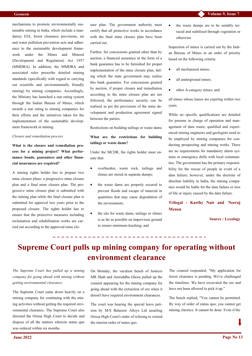mechanisms to promote environmentally sustainable mining in India, which include a mandatory EIA, forest clearance provisions, air and water pollution prevention acts and adherence to the sustainable development framework under the Mines and Mineral (Development and Regulation) Act 1957 (MMDRA). In addition, the MMDRA and associated rules prescribe detailed mining standards (specifically with regard to carrying out scientific and environmentally friendly mining) by mining companies. Accordingly, the Ministry has launched a star rating system through the Indian Bureau of Mines, which awards a star rating to mining companies for their efforts and the initiatives taken for the implementation of the sustainable development framework in mining.

### *Closure and remediation process*

**What is the closure and remediation process for a mining project? What performance bonds, guarantees and other financial assurances are required?**

A mining rights holder has to prepare two mine closure plans: a progressive mine closure plan and a final mine closure plan. The progressive mine closure plan is submitted with the mining plan while the final closure plan is submitted for approval two years prior to the proposed closure. The rights holder has to ensure that the protective measures including reclamation and rehabilitation works are carried out according to the approved mine closure plan. The government authority must certify that all protective works in accordance with the final mine closure plan have been carried out.

Further, for concessions granted other than by auction, a financial assurance in the form of a bank guarantee has to be furnished for proper implementation of the mine closure plan, failing which the state government may realise this bank guarantee. For concessions granted by auction, if proper closure and remediation according to the mine closure plan are not followed, the performance security can be realised as per the provisions of the mine development and production agreement signed between the parties.

Restrictions on building tailings or waste dams

### **What are the restrictions for building tailings or waste dams?**

Under the MCDR, the rights holder must ensure that:

- overburden, waste rock, tailings and slimes are stored in separate dumps;
- the waste dams are properly secured to prevent floods and escape of material in quantities that may cause degradation of the environment;
- the site for waste dams, tailings or slimes is as far as possible on impervious ground to ensure minimum leaching; and

 the waste dumps are to be suitably terraced and stabilised through vegetation or otherwise.

Inspection of mines is carried out by the Indian Bureau of Mines in an order of priority based on the following criteria:

- all mechanised mines;
- all underground mines;
- other A-category mines; and

all mines whose leases are expiring within two years.

While no specific qualifications are detailed for persons in charge of operation and management of dam waste, qualified and experienced mining engineers and geologists need to be employed by mining companies for conducting prospecting and mining works. There are no requirements for mandatory alarm systems or emergency drills with local communities. The government has the primary responsibility for the rescue of people in event of a dam failure; however, under the doctrine of absolute liability in India, the mining companies would be liable for the dam failure or loss of life or injury caused by the dam failure.

**[Trilegal](https://www.lexology.com/contributors/trilegal) - [Karthy Nair](https://www.lexology.com/23102/author/Karthy_Nair/) and [Neeraj](https://www.lexology.com/23102/author/Neeraj_Menon/)  [Menon](https://www.lexology.com/23102/author/Neeraj_Menon/)**

**Source : Lexology**

### **Supreme Court pulls up mining company for operating without environment clearance**

*The Supreme Court has pulled up a mining company for going ahead with mining without getting environmental clearance.*

The Supreme Court came down heavily on a mining company for continuing with the mining activities without getting the required environmental clearance. The Supreme Court also directed the Orissa High Court to decide and dispose of all the matters wherein status quo was ordered within six months.

On Monday, the vacation bench of Justices MR Shah and Aniruddha Ghose pulled up the counsel appearing for the mining company for going ahead with the extraction of ore when it doesn't have required environment clearances.

The court was hearing the special leave petition by M/S Balasore Alloys Ltd assailing Orissa High Court's order of refusing to extend the interim order of status quo.

The counsel responded, "My application for forest clearance is pending. We've challenged the timelines. We have excavated the ore and have not been allowed to pick it up."

The bench replied, "You cannot be permitted. By way of order of status quo, you cannot get mining clarence. It cannot be done. Even if the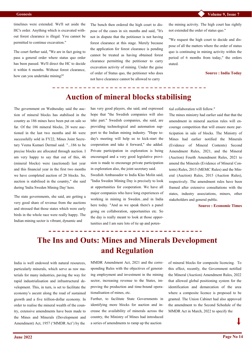timelines were extended. We'll set aside the HC's order. Anything which is excavated without forest clearance is illegal. You cannot be permitted to continue excavation."

The court further said, "We are in fact going to pass a general order where status quo order has been passed. We'll direct the HC to decide it within 6 months. Without forest clearance, how can you undertake mining?"

The bench then ordered the high court to dispose of the cases in six months and said, "It's not in dispute that the petitioner is not having forest clearance at this stage. Merely because the application for forest clearance is pending cannot be treated as having obtained forest clearance permitting the petitioner to carry excavation activity of mining. Under the guise of order of Status quo, the petitioner who does not have clearance cannot be allowed to carry

the mining activity. The high court has rightly not extended the order of status quo."

"We request the high court to decide and dispose of all the matters where the order of status quo is continuing in mining activity within the period of 6 months from today," the orders stated.

**Source : India Today**

### **Auction of mineral blocks stabilising**

The government on Wednesday said the auction of mineral blocks has stabilised in the country as 186 mines have been put on sale so far. Of the 186 mineral blocks, 28 were auctioned in the last two months and 46 were successfully sold in FY22, Mines Joint Secretary Veena Kumari Dermal said. "...186 to be precise blocks are allocated through auction. I am very happy to say that out of this, 46 (mineral blocks) were (auctioned) last year and this financial year in the first two months we have completed auction of 28 blocks. So, auction is stabilised in the country," she said during 'India Sweden Mining Day' here.

The state governments, she said, are getting a very good share of revenue from the auctions and stressed that those states which were early birds in the whole race were really happy. The Indian mining sector is vibrant, dynamic and

has very good players, she said, and expressed hope that "the Swedish companies will also take part." Swedish companies, she said, are providing technological and automation support to the Indian mining industry. "Hope today's meeting will help us to kick-start the cooperation and take it forward," she added. Private participation in exploration is being encouraged and a very good legislative provision is made to encourage private participation in exploration also, the joint secretary said.

Swedish Ambassador to India Klas Molin said, "India Sweden Mining Day is precisely to look at opportunities for cooperation. We have all major companies who have long experiences of working in mining in Sweden...and in India here today. "And as we speak there's a panel going on collaboration, opportunities etc. So the day is really meant to look at those opportunities and I am sure lots of tie up and potential collaboration will follow."

The mines ministry had earlier said that that the amendment in mineral auction rules will encourage competition that will ensure more participation in sale of blocks. The Ministry of Mines had earlier notified the Minerals (Evidence of Mineral Contents) Second Amendment Rules, 2021, and the Mineral (Auction) Fourth Amendment Rules, 2021 to amend the Minerals (Evidence of Mineral Contents) Rules, 2015 (MEMC Rules) and the Mineral (Auction) Rules, 2015 (Auction Rules), respectively. The amendment rules have been framed after extensive consultations with the states, industry associations, miners, other stakeholders and general public.

**Source : Economic Times**

### **The Ins and Outs: Mines and Minerals Development and Regulation**

India is well endowed with natural resources, particularly minerals, which serve as raw materials for many industries, paving the way for rapid industrialisation and infrastructural development. This, in turn, is set to facilitate the economy's ascent along the road of sustained growth and a five trillion-dollar economy. In order to realise the mineral wealth of the country, extensive amendments have been made to the Mines and Minerals (Development and Amendment) Act, 1957 ('MMDR Act') by the

MMDR Amendment Act, 2021 and the corresponding Rules with the objectives of generating employment and investment in the mining sector, increasing revenue to the States, improving the production and time-bound operationalisation of mines, etc.

Further, to facilitate State Governments in identifying more blocks for auction and increase the availability of minerals across the country, the Ministry of Mines had introduced a series of amendments to ramp up the auction

of mineral blocks for composite licencing. To this effect, recently, the Government notified the Mineral (Auction) Amendment Rules, 2022 that allowed global positioning system for the identification and demarcation of the area where a composite licence is proposed to be granted. The Union Cabinet had also approved the amendment to the Second Schedule of the MMDR Act in March, 2022 to specify the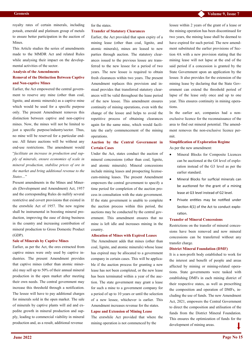royalty rates of certain minerals, including potash, emerald and platinum group of metals to ensure better participation in the auction of Mines.

This Article studies the series of amendments made to the MMDR Act and related Rules while analysing their impact on the developmental activities of the sector.

#### **Analysis of the Amendments**

### **Removal of the Distinction Between Captive and Non-captive Mines**

Earlier, the Act empowered the central government to reserve any mine (other than coal, lignite, and atomic minerals) as a captive mine which would be used for a specific purpose only. The present Amendment removes this distinction between captive and non-captive mines. Now, the mines will not be limited to just a specific purpose/industry/sector. Thus, no mine will be reserved for a particular enduse. All future auctions will be without any end-use restrictions. The amendment would "*facilitate an increase in production and supply of minerals, ensure economies of scale in mineral production, stabilise prices of ore in the market and bring additional revenue to the States…*"

Present amendments in the Mines and Minerals (Development and Amendment) Act, 1957 and the corresponding Rules do nullify several restrictive and covert provisions that existed in the erstwhile Act of 1957. The new regime shall be instrumental in boosting mineral production, improving the ease of doing business in the country and increasing contribution of mineral production to Gross Domestic Product (GDP).

#### **Sale of Minerals by Captive Mines**

Earlier, as per the Act, the ores extracted from captive mines were only used by captive industries. The present Amendment provides that captive mines (other than atomic minerals) may sell up to 50% of their annual mineral production in the open market after meeting their own needs. The central government may increase this threshold through a notification. The lessee will have to pay additional charges for minerals sold in the open market. The sale of minerals by captive plants will aid and expedite growth in mineral production and supply, leading to commercial viability in mineral production and, as a result, additional revenue

### for the states.

### **Transfer of Statutory Clearances**

Earlier, the Act provided that upon expiry of a mining lease (other than coal, lignite, and atomic minerals), mines are leased to new parties through auction. The statutory clearances issued to the previous lessee are transferred to the new lessee for a period of two years. The new lessee is required to obtain fresh clearances within two years. The present Amendment replaces this provision and instead provides that transferred statutory clearances will be valid throughout the lease period of the new lessee. This amendment ensures continuity of mining operations, even with the change of the lessee and helps to avoid the repetitive process of obtaining clearances again for the same mine, which would facilitate the early commencement of the mining operations.

### **Auction by the Central Government in Certain Cases**

Under the Act, states conduct the auction of mineral concessions (other than coal, lignite, and atomic minerals). Mineral concessions include mining leases and prospecting licensecum-mining leases. The present Amendment empowers the central government to specify a time period for completion of the auction process in consultation with the state government. If the state government is unable to complete the auction process within this period, the auctions may be conducted by the central government. This amendment ensures that no mine is left idle and increases mining in the country.

#### **Allocation of Mines with Expired Leases**

The Amendment adds that mines (other than coal, lignite, and atomic minerals) whose lease has expired may be allocated to a government company in certain cases. This will be applicable if the auction process for granting a new lease has not been completed, or the new lease has been terminated within a year of the auction. The state government may grant a lease for such a mine to a government company for a period of up to 10 years or until the selection of a new lessee, whichever is earlier. This Amendment increases revenue for the states.

#### **Lapse and Extension of Mining Lease**

The erstwhile Act provided that where the mining operation is not commenced by the

lessee within 2 years of the grant of a lease or the mining operation has been discontinued for two years, the mining lease shall be deemed to have expired for such period. The new amendment substituted the earlier provisions of Section 4A with a new provision stating that the mining lease will not lapse at the end of the said period if a concession is granted by the State Government upon an application by the lessee. It also provides for the extension of the mining lease by declaring that the State Government can extend the threshold period of lapse of the lease only once and up to one year. This ensures continuity in mining operations.

In the earlier act, companies had a nonexclusive licence for the reconnaissance of the area to find out mineral potential. The amendment removes the non-exclusive licence permit.

### **Simplification of Exploration Regime** As per the new amendment:

- Mineral Blocks for Composite Licences can be auctioned at the G4 level of exploration instead of the G3 level as per the earlier standard.
- Mineral Blocks for surficial minerals can be auctioned for the grant of a mining lease at G3 level instead of G2 level.
- Private entities may be notified under Section 4(1) of the Act to conduct exploration.

#### **Transfer of Mineral Concessions**

Restrictions on the transfer of mineral concessions have been removed and now mineral concessions can be transferred without any transfer charge.

#### **District Mineral Foundation (DMF)**

It is a non-profit body established to work for the interest and benefit of people and areas affected by mining or mining-related operations. State governments were tasked with establishing DMFs in each mining district of their respective states, as well as prescribing the composition and operation of DMFs, including the use of funds. The new Amendment Act, 2021, empowers the Central Government to direct the composition and utilisation of the funds from the District Mineral Foundation. This ensures the optimization of funds for the development of mining areas.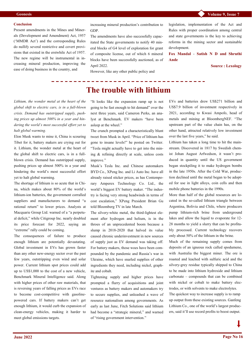### **Geonesis**

#### **Conclusion**

Present amendments in the Mines and Minerals (Development and Amendment) Act, 1957 ('MMDR Act') and the corresponding Rules do nullify several restrictive and covert provisions that existed in the erstwhile Act of 1957. The new regime will be instrumental in increasing mineral production, improving the ease of doing business in the country, and

 $- - - - - - - -$ 

increasing mineral production's contribution to GDP.

The amendments have also successfully capacitated the State governments to notify 40 mineral blocks of G4 level of exploration for grant of composite license, out of which 6 mineral blocks have been successfully auctioned, as of April 2022.

However, like any other public policy and

legislation, implementation of the Act and Rules with proper coordination among central and state governments is the key to achieving reforms in the mining sector and sustainable development.

**[Fox Mandal](https://www.lexology.com/contributors/fox-mandal) - [Satish N D](https://www.lexology.com/17004/author/Satish_N_D/) and [Shruthi](https://www.lexology.com/17004/author/Shruthi_Ande/)  [Ande](https://www.lexology.com/17004/author/Shruthi_Ande/)**

**Source : Lexology**

*Lithium, the wonder metal at the heart of the global shift to electric cars, is in a full-blown crisis. Demand has outstripped supply, pushing prices up almost 500% in a year and hindering the world's most successful effort yet to halt global warming.*

Elon Musk wants to mine it, China is scouring Tibet for it, battery makers are crying out for it. Lithium, the wonder metal at the heart of the global shift to electric cars, is in a fullblown crisis. Demand has outstripped supply, pushing prices up almost 500% in a year and hindering the world's most successful effort yet to halt global warming.

The shortage of lithium is so acute that in China, which makes about 80% of the world's lithium-ion batteries, the government corralled suppliers and manufacturers to demand "a rational return" to lower prices. Analysts at Macquarie Group Ltd. warned of a "a perpetual deficit," while Citigroup Inc. nearly doubled its price forecast for 2022, saying an "extreme" rally could be coming.

The consequences of failure to produce enough lithium are potentially devastating. Global investment in EVs has grown faster than any other new-energy sector over the past few years, outstripping even wind and solar power. Current lithium spot prices could add up to US\$1,000 to the cost of a new vehicle, Benchmark Mineral Intelligence said. Along with higher prices of other raw materials, that is reversing years of falling prices as EVs race to become cost-competitive with gasolinepowered cars. If battery makers can't get enough lithium, it would curb the expansion of clean-energy vehicles, making it harder to meet global emissions targets.

"It looks like the expansion ramp up is not going to be fast enough to hit demand" over the next three years, said Cameron Perks, an analyst at Benchmark. EV makers "have been asleep at the wheel."

**The trouble with lithium**

The crunch prompted a characteristically blunt tweet from Musk in April. "Price of lithium has gone to insane levels!" he posted on Twitter. "Tesla might actually have to get into the mining & refining directly at scale, unless costs improve."

Musk's Tesla Inc. and Chinese automakers BYD Co., XPeng Inc. and Li Auto Inc. have all already raised sticker prices, as has Contemporary Amperex Technology Co. Ltd., the world's biggest EV battery maker. "The industry is facing very strong headwinds in terms of cost escalation," XPeng President Brian Gu told Bloomberg TV in late March.

The silvery-white metal, the third-lightest element after hydrogen and helium, is in the throes of an unprecedented boom because a slump in 2018-2020 that halved its value caused chronic underinvestment in new sources of supply just as EV demand was taking off. For battery makers, those woes have been compounded by the pandemic and Russia's war in Ukraine, which have snarled supplies of other ingredients they need, including nickel, graphite and cobalt.

Tightening supply and higher prices have prompted a flurry of acquisitions and joint ventures as battery makers and automakers try to secure supplies, and unleashed a wave of resource nationalism among governments. As early as last June, Fitch Solutions said lithium had become a "strategic mineral," and warned of "rising government intervention."

EVs and batteries drew US\$271 billion and US\$7.9 billion of investment respectively in 2021, according to Kwasi Ampofo, head of metals and mining at BloombergNEF. "The upstream part of the value chain has, on the other hand, attracted relatively low investment over the last five years," he said.

Lithium has taken a long time to hit the mainstream. Discovered in 1817 by Swedish chemist Johan August Arfwedson, it wasn't produced in quantity until the US government began stockpiling it to make hydrogen bombs in the late 1950s. After the Cold War, production declined until the metal began to be adopted for use in light alloys, coin cells and then mobile phone batteries in the 1990s.

More than half of the global resources are located in the so-called lithium triangle between Argentina, Bolivia and Chile, where producers pump lithium-rich brine from underground lakes and allow the liquid to evaporate for 12- 28 months to yield a slurry that can be profitably processed. Current technology recovers only about 50% of the lithium in the brine.

Much of the remaining supply comes from deposits of an igneous rock called spodumene, with Australia the biggest miner. The ore is roasted and leached with sulfuric acid and the silvery-grey residue typically shipped to China to be made into lithium hydroxide and lithium carbonate – compounds that can be combined with nickel or cobalt to make battery electrodes, or with solvents to make electrolytes.

The quickest way to increase supply is to ramp up output from these existing sources. Ganfeng Lithium Co., one of the world's largest producers, said it'll use record profits to boost output.

**Page No 16**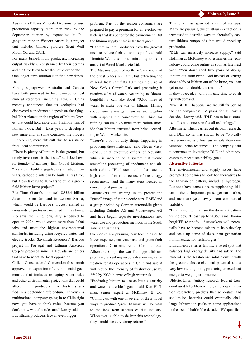Australia's Pilbara Minerals Ltd. aims to raise production capacity more than 50% by the September quarter by expanding its Pilgangoora mine in Western Australia, a project that includes Chinese partners Great Wall Motor Co. and CATL.

For many brine-lithium producers, increasing output quickly is constrained by their permits and the time taken to let the liquid evaporate.

One longer-term solution is to find new deposits.

Mining superpowers Australia and Canada have both promised to help develop critical mineral resources, including lithium. China recently announced that its geologists had discovered a spodumene deposit on the Qinghai-Tibet plateau in the region of Mount Everest that could hold more than 1 million tons of lithium oxide. But it takes years to develop a new mine and, in some countries, the process is becoming more difficult due to resistance from local communities.

"There is plenty of lithium in the ground, but timely investment is the issue," said Joe Lowry, founder of advisory firm Global Lithium. "Tesla can build a gigafactory in about two years, cathode plants can be built in less time, but it can take up to 10 years to build a greenfield lithium brine project."

Rio Tinto Group's proposed US\$2.4 billion Jadar mine on farmland in western Serbia, which would be Europe's biggest, stalled as thousands of protesters marched in the streets. Rio says the mine, originally scheduled to open in 2026, would create more than 2,000 jobs and meet the highest environmental standards, including using recycled water and electric trucks. Savannah Resources' Barroso project in Portugal and Lithium Americas Corp.'s proposed mine in Nevada are others that have to negotiate local opposition.

Chile's Constitutional Convention this month approved an expansion of environmental governance that includes reshaping water rules and other environmental protections that could affect lithium producers if the charter is ratified in a September referendum. "If you're a multinational company going in to Chile right now, you have to think twice, because you don't know what the rules are," Lowry said. But lithium producers face an even bigger

problem. Part of the reason consumers are prepared to pay a premium for an electric vehicle is that it's better for the environment. But the lithium supply chain is far from green.

"Lithium mineral producers have the greatest need to reduce their emissions profiles," said Dominic Wells, senior sustainability and cost analyst at Wood Mackenzie Ltd.

The Atacama desert of northern Chile is one of the driest places on Earth, but extracting the mineral from salt flats 10 times the size of New York's Central Park and processing it requires a lot of water. According to BloombergNEF, it can take about 70,000 litres of water to make one ton of lithium. Mining spodumene is energy intensive and together with shipping the concentrate to China for refining can emit 3.5 times more carbon dioxide than lithium extracted from brine, according to Wood Mackenzie.

"There's a lot of dirty things happening in producing these materials," said Steven Vassiloudis, chief executive officer of Novalith, which is working on a system that would streamline processing of spodumene and absorb carbon. "Hard-rock lithium has such a high carbon footprint because of the energy requirement" and the many steps needed in conventional processing.

Automakers are wading in to protect the "green" image of their electric cars. BMW and a group backed by German automobile giants including Daimler AG and Volkswagen AG and have begun separate investigations into water use and production methods in the South American salt flats.

Companies are pursuing new technologies to lower expenses, cut water use and green their operations. Charlotte, North Carolina-based Albemarle Corp., the world's biggest lithium producer, is seeking responsible mining certification for its operations in Chile and said it will reduce the intensity of freshwater use by 25% by 2030 in areas of high water risk.

"Producing lithium to use as little electricity and water is a critical goal," said Ken Hoffman, senior expert at McKinsey & Co. "Coming up with one or several of these novel ways to produce 'green lithium' will be vital to the long term success of this industry. Whomever is able to deliver this technology, they should see very strong returns."

That prize has spawned a raft of startups. Many are pursuing direct lithium extraction, a term used to describe ways to chemically capture lithium compounds that would speed up production.

"DLE can massively increase supply," said Hoffman at McKinsey who estimates the technology could come online as soon as late next year. "You don't need two years of drying lithium out from brine. And instead of getting about 40% of lithium out of the brine, you can get more than double the amount."

If they succeed, it will still take time to catch up with demand.

"Even if DLE happens, we are still far behind the car companies' EV plans for at least a decade," Lowry said. "DLE has to be customised. It's not a one-size-fits-all technology."

Albemarle, which carries out its own research, said DLE so far has shown to be "typically less economic and less sustainable than conventional brine resources." The company said it continues to investigate DLE and other processes to meet sustainability goals.

### **Alternative batteries**

The environmental and supply issues have prompted companies to look for alternatives to the lithium-ion battery, including hydrogen. But none have come close to supplanting lithium in the all-important passenger car market, and most are years away from commercial viability.

"Lithium-ion will remain the dominant battery technology, at least up to 2035," said BloombergNEF'sAmpofo. "Automakers will potentially have to become miners to help develop and scale up some of these next generation lithium extraction technologies."

Lithium-ion batteries fall into a sweet spot that balances high energy density and safety. The mineral is the least-dense solid element with the greatest electro-chemical potential and a very low melting point, producing an excellent energy-to-weight performance.

UldericoUlissi, battery research lead at London-based Rho Motion Ltd., an energy transition researcher, predicts that solid-state and sodium-ion batteries could eventually challenge lithium-ion packs in some applications in the second half of the decade. "EV qualific-